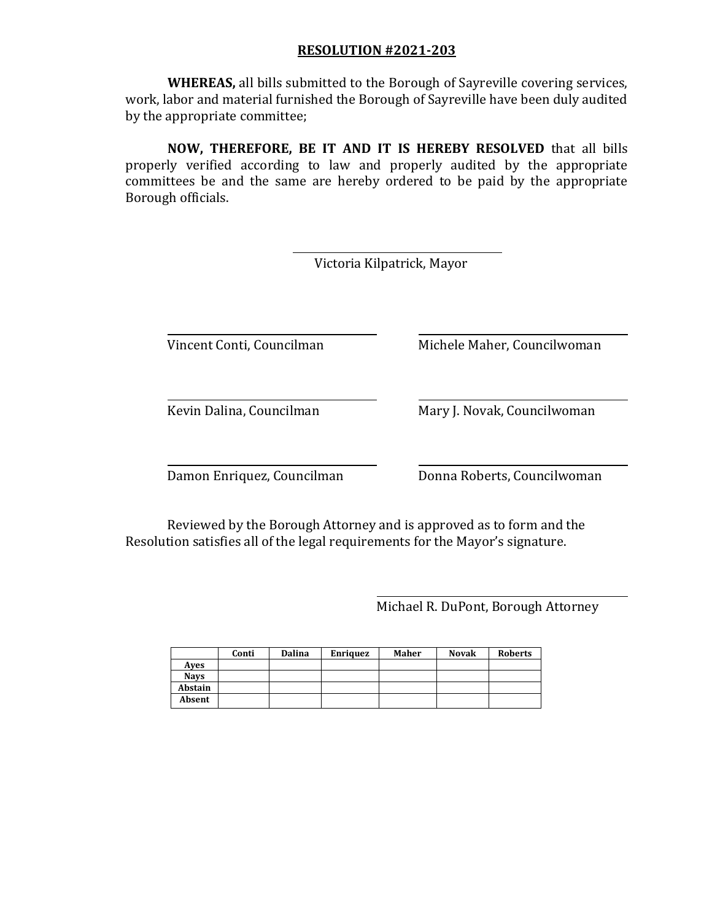**WHEREAS,** all bills submitted to the Borough of Sayreville covering services, work, labor and material furnished the Borough of Sayreville have been duly audited by the appropriate committee;

**NOW, THEREFORE, BE IT AND IT IS HEREBY RESOLVED** that all bills properly verified according to law and properly audited by the appropriate committees be and the same are hereby ordered to be paid by the appropriate Borough officials.

|                            | Victoria Kilpatrick, Mayor  |
|----------------------------|-----------------------------|
| Vincent Conti, Councilman  | Michele Maher, Councilwoman |
| Kevin Dalina, Councilman   | Mary J. Novak, Councilwoman |
| Damon Enriquez, Councilman | Donna Roberts, Councilwoman |

Reviewed by the Borough Attorney and is approved as to form and the Resolution satisfies all of the legal requirements for the Mayor's signature.

Michael R. DuPont, Borough Attorney

|             | Conti | Dalina | <b>Enriquez</b> | Maher | <b>Novak</b> | <b>Roberts</b> |
|-------------|-------|--------|-----------------|-------|--------------|----------------|
| Aves        |       |        |                 |       |              |                |
| <b>Navs</b> |       |        |                 |       |              |                |
| Abstain     |       |        |                 |       |              |                |
| Absent      |       |        |                 |       |              |                |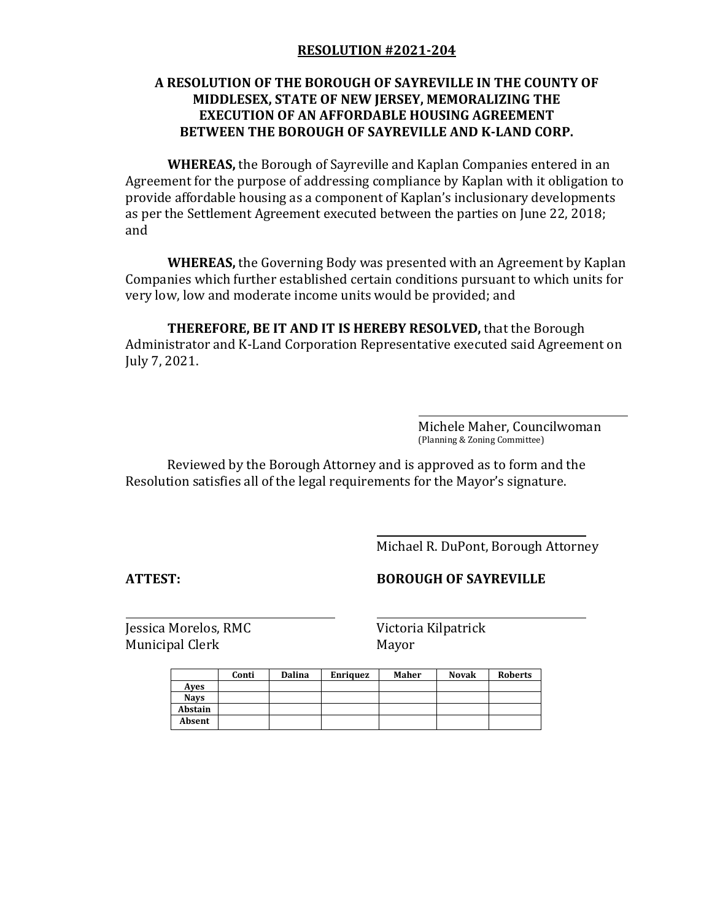## **A RESOLUTION OF THE BOROUGH OF SAYREVILLE IN THE COUNTY OF MIDDLESEX, STATE OF NEW JERSEY, MEMORALIZING THE EXECUTION OF AN AFFORDABLE HOUSING AGREEMENT BETWEEN THE BOROUGH OF SAYREVILLE AND K-LAND CORP.**

**WHEREAS,** the Borough of Sayreville and Kaplan Companies entered in an Agreement for the purpose of addressing compliance by Kaplan with it obligation to provide affordable housing as a component of Kaplan's inclusionary developments as per the Settlement Agreement executed between the parties on June 22, 2018; and

**WHEREAS,** the Governing Body was presented with an Agreement by Kaplan Companies which further established certain conditions pursuant to which units for very low, low and moderate income units would be provided; and

**THEREFORE, BE IT AND IT IS HEREBY RESOLVED,** that the Borough Administrator and K-Land Corporation Representative executed said Agreement on July 7, 2021.

> Michele Maher, Councilwoman (Planning & Zoning Committee)

Reviewed by the Borough Attorney and is approved as to form and the Resolution satisfies all of the legal requirements for the Mayor's signature.

Michael R. DuPont, Borough Attorney

**ATTEST: BOROUGH OF SAYREVILLE**

Municipal Clerk Mayor

Jessica Morelos, RMC Victoria Kilpatrick

|             | Conti | <b>Dalina</b> | <b>Enriquez</b> | Maher | <b>Novak</b> | <b>Roberts</b> |
|-------------|-------|---------------|-----------------|-------|--------------|----------------|
| Aves        |       |               |                 |       |              |                |
| <b>Navs</b> |       |               |                 |       |              |                |
| Abstain     |       |               |                 |       |              |                |
| Absent      |       |               |                 |       |              |                |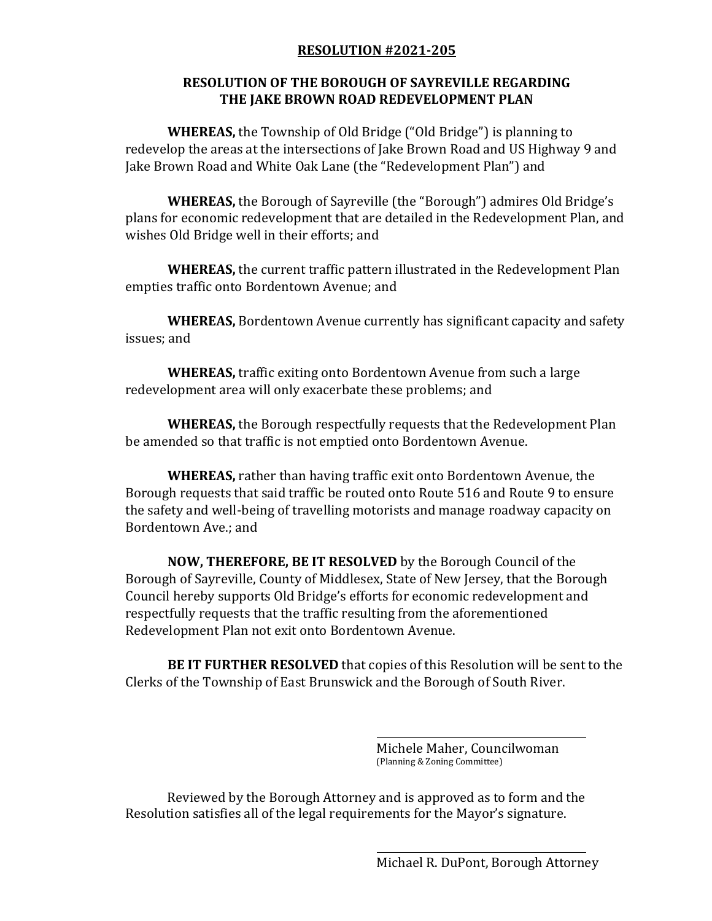## **RESOLUTION OF THE BOROUGH OF SAYREVILLE REGARDING THE JAKE BROWN ROAD REDEVELOPMENT PLAN**

**WHEREAS,** the Township of Old Bridge ("Old Bridge") is planning to redevelop the areas at the intersections of Jake Brown Road and US Highway 9 and Jake Brown Road and White Oak Lane (the "Redevelopment Plan") and

**WHEREAS,** the Borough of Sayreville (the "Borough") admires Old Bridge's plans for economic redevelopment that are detailed in the Redevelopment Plan, and wishes Old Bridge well in their efforts; and

**WHEREAS,** the current traffic pattern illustrated in the Redevelopment Plan empties traffic onto Bordentown Avenue; and

**WHEREAS,** Bordentown Avenue currently has significant capacity and safety issues; and

**WHEREAS,** traffic exiting onto Bordentown Avenue from such a large redevelopment area will only exacerbate these problems; and

**WHEREAS,** the Borough respectfully requests that the Redevelopment Plan be amended so that traffic is not emptied onto Bordentown Avenue.

**WHEREAS,** rather than having traffic exit onto Bordentown Avenue, the Borough requests that said traffic be routed onto Route 516 and Route 9 to ensure the safety and well-being of travelling motorists and manage roadway capacity on Bordentown Ave.; and

**NOW, THEREFORE, BE IT RESOLVED** by the Borough Council of the Borough of Sayreville, County of Middlesex, State of New Jersey, that the Borough Council hereby supports Old Bridge's efforts for economic redevelopment and respectfully requests that the traffic resulting from the aforementioned Redevelopment Plan not exit onto Bordentown Avenue.

**BE IT FURTHER RESOLVED** that copies of this Resolution will be sent to the Clerks of the Township of East Brunswick and the Borough of South River.

> Michele Maher, Councilwoman (Planning & Zoning Committee)

Reviewed by the Borough Attorney and is approved as to form and the Resolution satisfies all of the legal requirements for the Mayor's signature.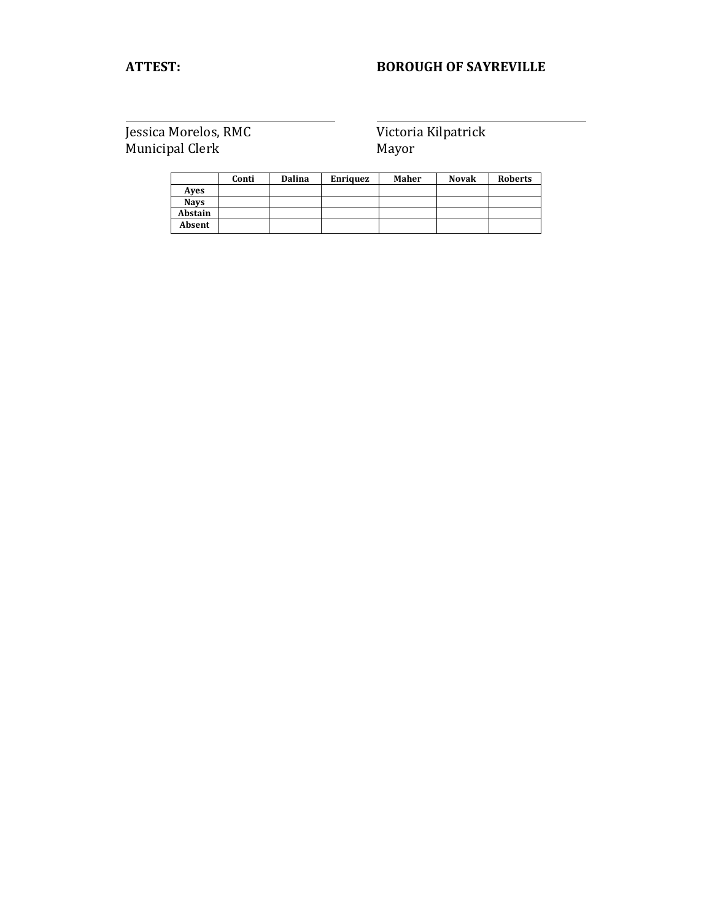# **ATTEST: BOROUGH OF SAYREVILLE**

|             | Conti | Dalina | Enriquez | Maher | <b>Novak</b> | <b>Roberts</b> |
|-------------|-------|--------|----------|-------|--------------|----------------|
| Aves        |       |        |          |       |              |                |
| <b>Navs</b> |       |        |          |       |              |                |
| Abstain     |       |        |          |       |              |                |
| Absent      |       |        |          |       |              |                |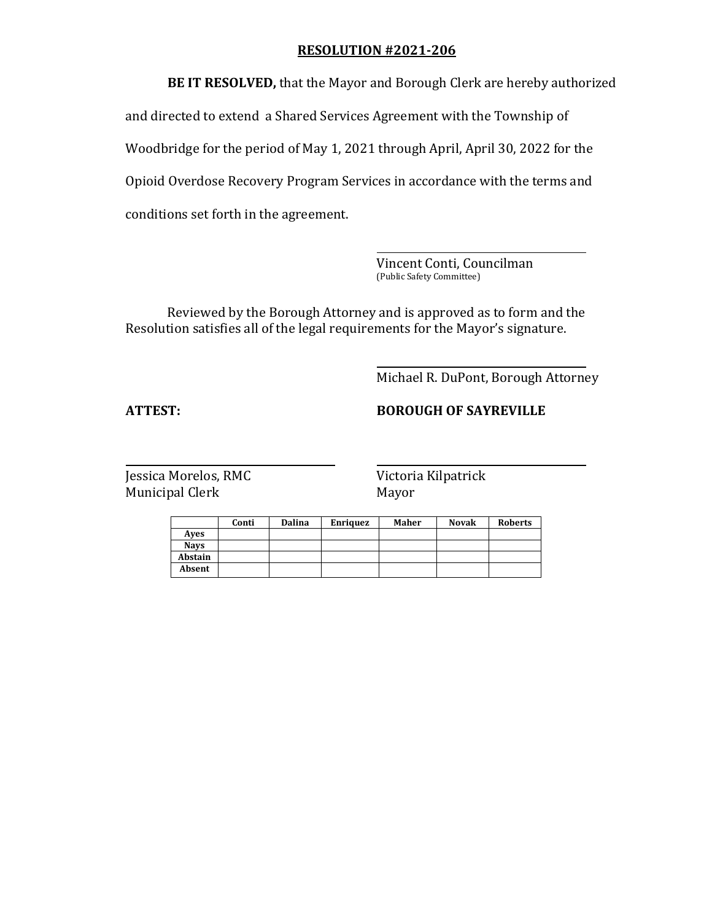**BE IT RESOLVED,** that the Mayor and Borough Clerk are hereby authorized and directed to extend a Shared Services Agreement with the Township of Woodbridge for the period of May 1, 2021 through April, April 30, 2022 for the Opioid Overdose Recovery Program Services in accordance with the terms and conditions set forth in the agreement.

> Vincent Conti, Councilman (Public Safety Committee)

Reviewed by the Borough Attorney and is approved as to form and the Resolution satisfies all of the legal requirements for the Mayor's signature.

Michael R. DuPont, Borough Attorney

## **ATTEST: BOROUGH OF SAYREVILLE**

|             | Conti | <b>Dalina</b> | Enriquez | Maher | <b>Novak</b> | <b>Roberts</b> |
|-------------|-------|---------------|----------|-------|--------------|----------------|
| Aves        |       |               |          |       |              |                |
| <b>Navs</b> |       |               |          |       |              |                |
| Abstain     |       |               |          |       |              |                |
| Absent      |       |               |          |       |              |                |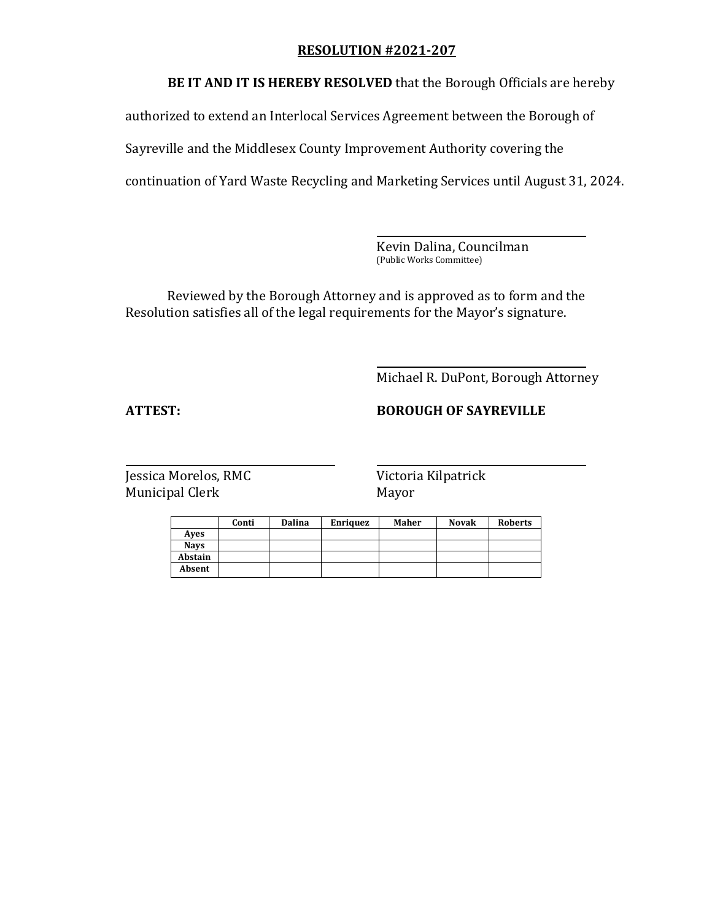**BE IT AND IT IS HEREBY RESOLVED** that the Borough Officials are hereby

authorized to extend an Interlocal Services Agreement between the Borough of

Sayreville and the Middlesex County Improvement Authority covering the

continuation of Yard Waste Recycling and Marketing Services until August 31, 2024.

Kevin Dalina, Councilman (Public Works Committee)

Reviewed by the Borough Attorney and is approved as to form and the Resolution satisfies all of the legal requirements for the Mayor's signature.

Michael R. DuPont, Borough Attorney

# **ATTEST: BOROUGH OF SAYREVILLE**

|             | Conti | Dalina | <b>Enriquez</b> | Maher | <b>Novak</b> | <b>Roberts</b> |
|-------------|-------|--------|-----------------|-------|--------------|----------------|
| Aves        |       |        |                 |       |              |                |
| <b>Navs</b> |       |        |                 |       |              |                |
| Abstain     |       |        |                 |       |              |                |
| Absent      |       |        |                 |       |              |                |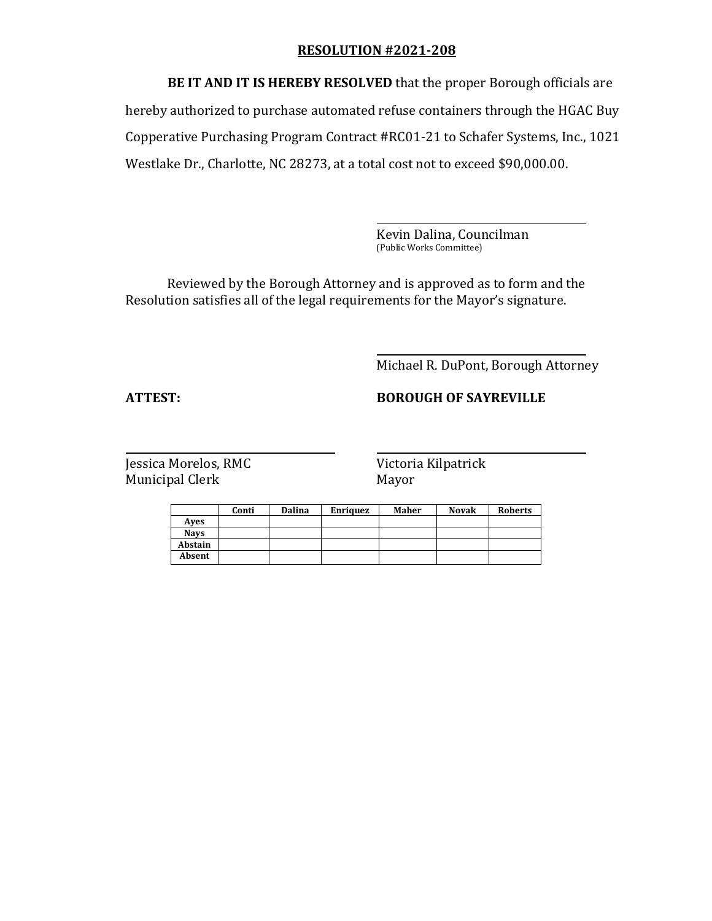**BE IT AND IT IS HEREBY RESOLVED** that the proper Borough officials are hereby authorized to purchase automated refuse containers through the HGAC Buy Copperative Purchasing Program Contract #RC01-21 to Schafer Systems, Inc., 1021 Westlake Dr., Charlotte, NC 28273, at a total cost not to exceed \$90,000.00.

> Kevin Dalina, Councilman (Public Works Committee)

Reviewed by the Borough Attorney and is approved as to form and the Resolution satisfies all of the legal requirements for the Mayor's signature.

Michael R. DuPont, Borough Attorney

**ATTEST: BOROUGH OF SAYREVILLE**

|             | Conti | Dalina | <b>Enriquez</b> | Maher | <b>Novak</b> | <b>Roberts</b> |
|-------------|-------|--------|-----------------|-------|--------------|----------------|
| Aves        |       |        |                 |       |              |                |
| <b>Navs</b> |       |        |                 |       |              |                |
| Abstain     |       |        |                 |       |              |                |
| Absent      |       |        |                 |       |              |                |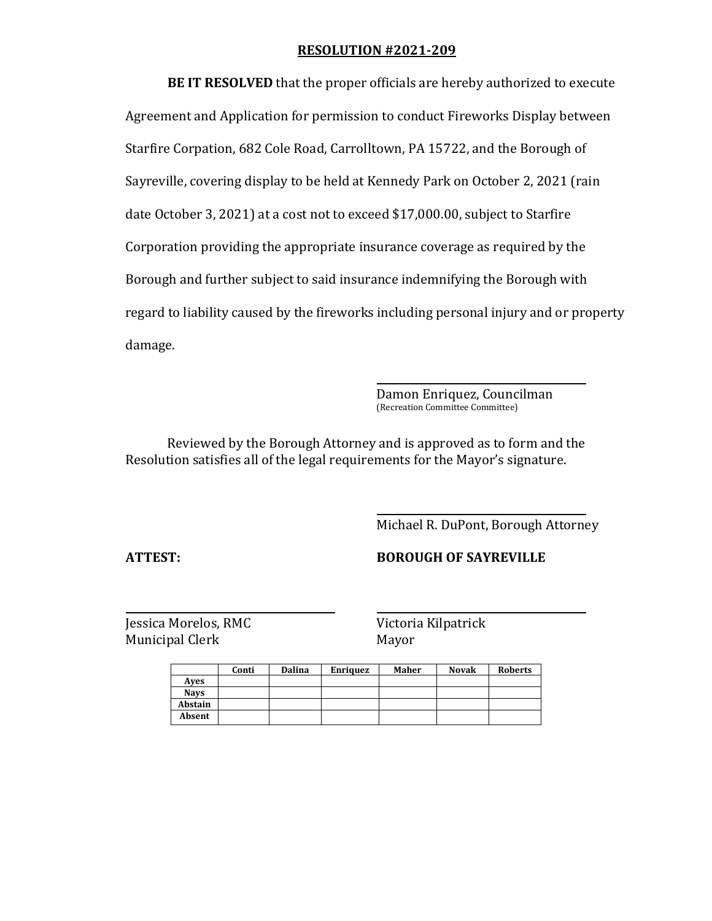**BE IT RESOLVED** that the proper officials are hereby authorized to execute Agreement and Application for permission to conduct Fireworks Display between Starfire Corpation, 682 Cole Road, Carrolltown, PA 15722, and the Borough of Sayreville, covering display to be held at Kennedy Park on October 2, 2021 (rain date October 3, 2021) at a cost not to exceed \$17,000.00, subject to Starfire Corporation providing the appropriate insurance coverage as required by the Borough and further subject to said insurance indemnifying the Borough with regard to liability caused by the fireworks including personal injury and or property damage.

> Damon Enriquez, Councilman (Recreation Committee Committee)

Reviewed by the Borough Attorney and is approved as to form and the Resolution satisfies all of the legal requirements for the Mayor's signature.

Michael R. DuPont, Borough Attorney

**ATTEST: BOROUGH OF SAYREVILLE**

|             | Conti | <b>Dalina</b> | <b>Enriquez</b> | Maher | <b>Novak</b> | <b>Roberts</b> |
|-------------|-------|---------------|-----------------|-------|--------------|----------------|
| Aves        |       |               |                 |       |              |                |
| <b>Navs</b> |       |               |                 |       |              |                |
| Abstain     |       |               |                 |       |              |                |
| Absent      |       |               |                 |       |              |                |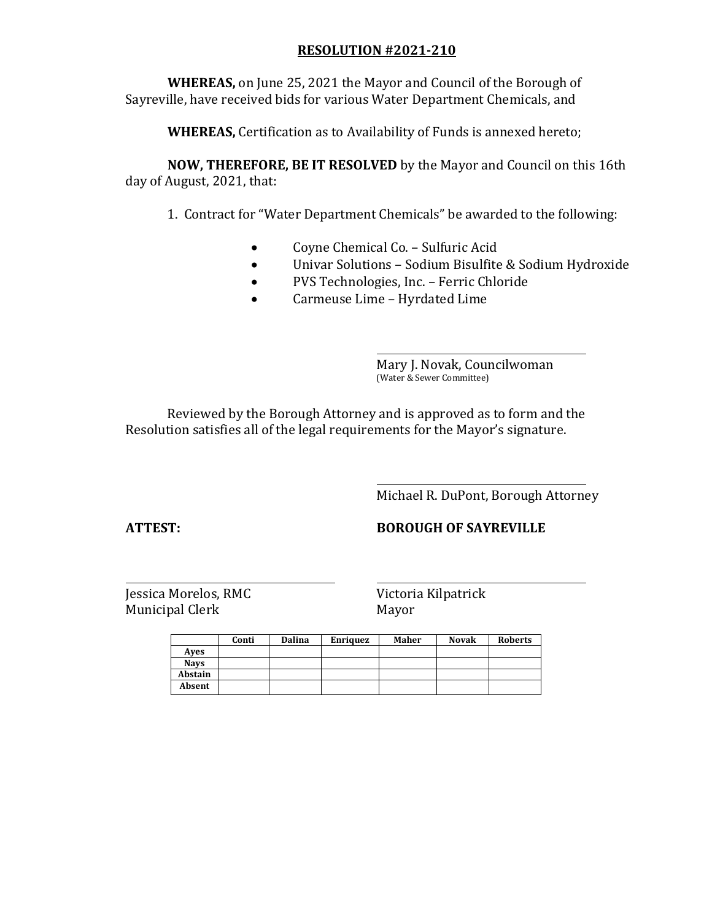**WHEREAS,** on June 25, 2021 the Mayor and Council of the Borough of Sayreville, have received bids for various Water Department Chemicals, and

**WHEREAS,** Certification as to Availability of Funds is annexed hereto;

**NOW, THEREFORE, BE IT RESOLVED** by the Mayor and Council on this 16th day of August, 2021, that:

1. Contract for "Water Department Chemicals" be awarded to the following:

- Coyne Chemical Co. Sulfuric Acid
- Univar Solutions Sodium Bisulfite & Sodium Hydroxide
- PVS Technologies, Inc. Ferric Chloride
- Carmeuse Lime Hyrdated Lime

Mary J. Novak, Councilwoman (Water & Sewer Committee)

Reviewed by the Borough Attorney and is approved as to form and the Resolution satisfies all of the legal requirements for the Mayor's signature.

Michael R. DuPont, Borough Attorney

# **ATTEST: BOROUGH OF SAYREVILLE**

|             | Conti | <b>Dalina</b> | <b>Enriquez</b> | Maher | <b>Novak</b> | <b>Roberts</b> |
|-------------|-------|---------------|-----------------|-------|--------------|----------------|
| Aves        |       |               |                 |       |              |                |
| <b>Navs</b> |       |               |                 |       |              |                |
| Abstain     |       |               |                 |       |              |                |
| Absent      |       |               |                 |       |              |                |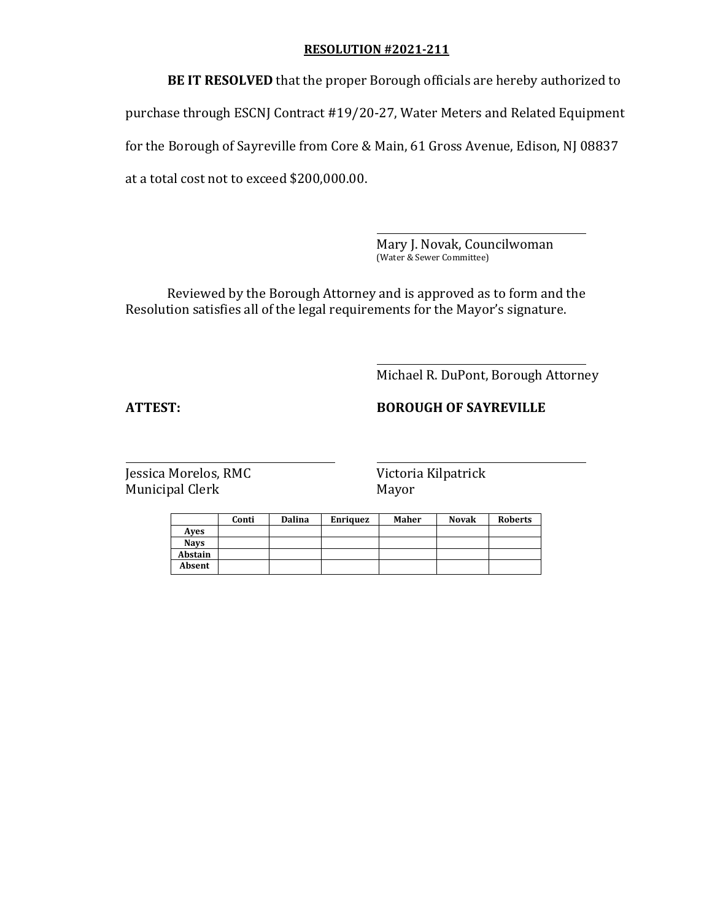**BE IT RESOLVED** that the proper Borough officials are hereby authorized to purchase through ESCNJ Contract #19/20-27, Water Meters and Related Equipment for the Borough of Sayreville from Core & Main, 61 Gross Avenue, Edison, NJ 08837 at a total cost not to exceed \$200,000.00.

> Mary J. Novak, Councilwoman (Water & Sewer Committee)

Reviewed by the Borough Attorney and is approved as to form and the Resolution satisfies all of the legal requirements for the Mayor's signature.

Michael R. DuPont, Borough Attorney

# **ATTEST: BOROUGH OF SAYREVILLE**

|             | Conti | Dalina | <b>Enriquez</b> | Maher | <b>Novak</b> | <b>Roberts</b> |
|-------------|-------|--------|-----------------|-------|--------------|----------------|
| Aves        |       |        |                 |       |              |                |
| <b>Navs</b> |       |        |                 |       |              |                |
| Abstain     |       |        |                 |       |              |                |
| Absent      |       |        |                 |       |              |                |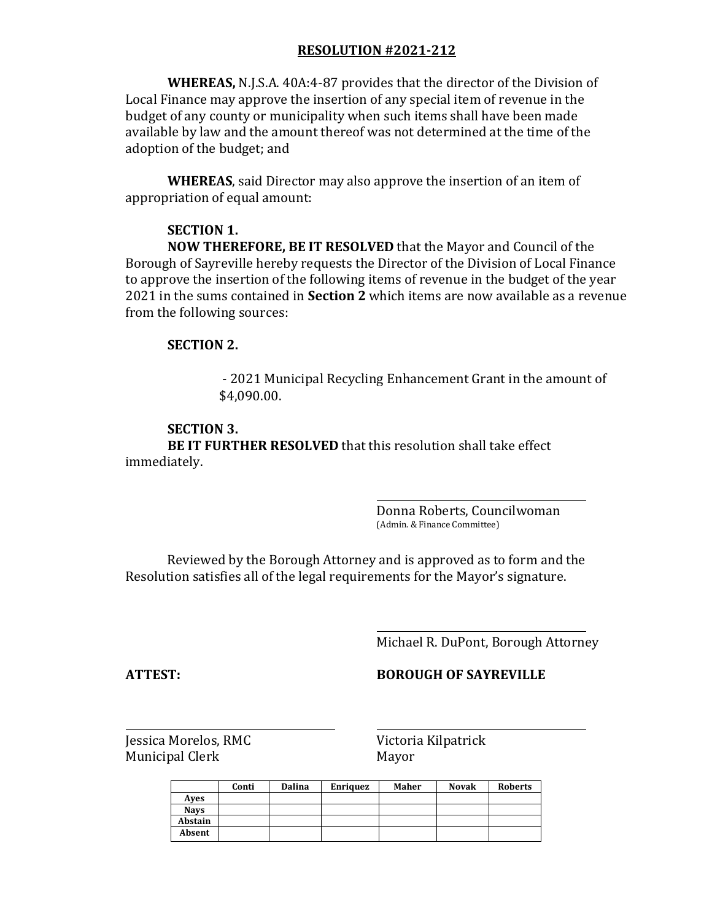**WHEREAS,** N.J.S.A. 40A:4-87 provides that the director of the Division of Local Finance may approve the insertion of any special item of revenue in the budget of any county or municipality when such items shall have been made available by law and the amount thereof was not determined at the time of the adoption of the budget; and

**WHEREAS**, said Director may also approve the insertion of an item of appropriation of equal amount:

## **SECTION 1.**

**NOW THEREFORE, BE IT RESOLVED** that the Mayor and Council of the Borough of Sayreville hereby requests the Director of the Division of Local Finance to approve the insertion of the following items of revenue in the budget of the year 2021 in the sums contained in **Section 2** which items are now available as a revenue from the following sources:

## **SECTION 2.**

- 2021 Municipal Recycling Enhancement Grant in the amount of \$4,090.00.

## **SECTION 3.**

**BE IT FURTHER RESOLVED** that this resolution shall take effect immediately.

> Donna Roberts, Councilwoman (Admin. & Finance Committee)

Reviewed by the Borough Attorney and is approved as to form and the Resolution satisfies all of the legal requirements for the Mayor's signature.

Michael R. DuPont, Borough Attorney

# **ATTEST: BOROUGH OF SAYREVILLE**

|             | Conti | <b>Dalina</b> | <b>Enriquez</b> | Maher | <b>Novak</b> | <b>Roberts</b> |
|-------------|-------|---------------|-----------------|-------|--------------|----------------|
| Aves        |       |               |                 |       |              |                |
| <b>Navs</b> |       |               |                 |       |              |                |
| Abstain     |       |               |                 |       |              |                |
| Absent      |       |               |                 |       |              |                |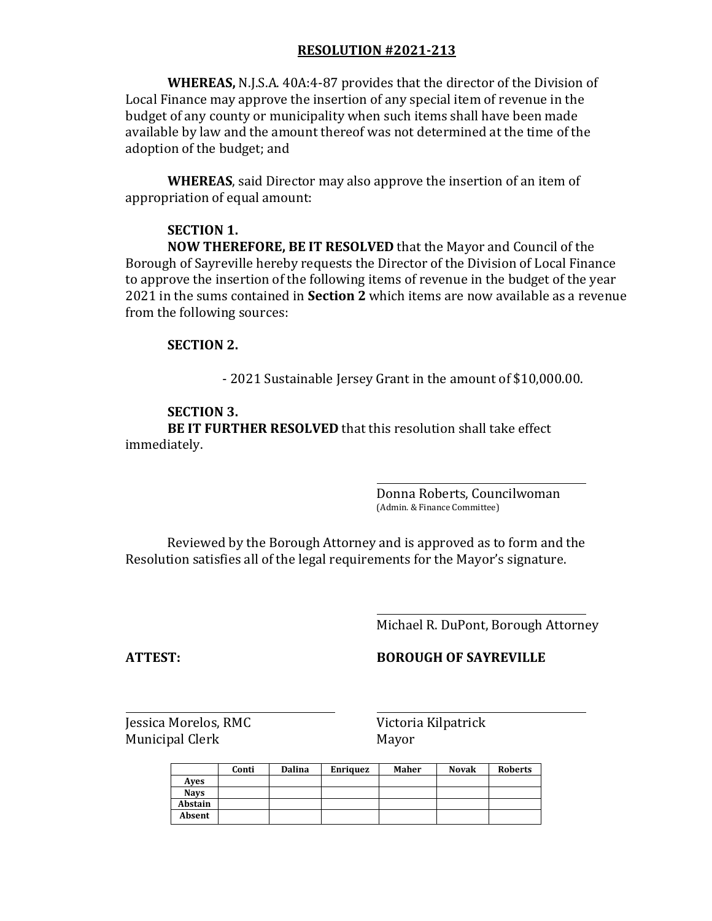**WHEREAS,** N.J.S.A. 40A:4-87 provides that the director of the Division of Local Finance may approve the insertion of any special item of revenue in the budget of any county or municipality when such items shall have been made available by law and the amount thereof was not determined at the time of the adoption of the budget; and

**WHEREAS**, said Director may also approve the insertion of an item of appropriation of equal amount:

#### **SECTION 1.**

**NOW THEREFORE, BE IT RESOLVED** that the Mayor and Council of the Borough of Sayreville hereby requests the Director of the Division of Local Finance to approve the insertion of the following items of revenue in the budget of the year 2021 in the sums contained in **Section 2** which items are now available as a revenue from the following sources:

#### **SECTION 2.**

- 2021 Sustainable Jersey Grant in the amount of \$10,000.00.

#### **SECTION 3.**

**BE IT FURTHER RESOLVED** that this resolution shall take effect immediately.

> Donna Roberts, Councilwoman (Admin. & Finance Committee)

Reviewed by the Borough Attorney and is approved as to form and the Resolution satisfies all of the legal requirements for the Mayor's signature.

Michael R. DuPont, Borough Attorney

#### **ATTEST: BOROUGH OF SAYREVILLE**

|             | Conti | <b>Dalina</b> | <b>Enriquez</b> | Maher | <b>Novak</b> | <b>Roberts</b> |
|-------------|-------|---------------|-----------------|-------|--------------|----------------|
| Aves        |       |               |                 |       |              |                |
| <b>Navs</b> |       |               |                 |       |              |                |
| Abstain     |       |               |                 |       |              |                |
| Absent      |       |               |                 |       |              |                |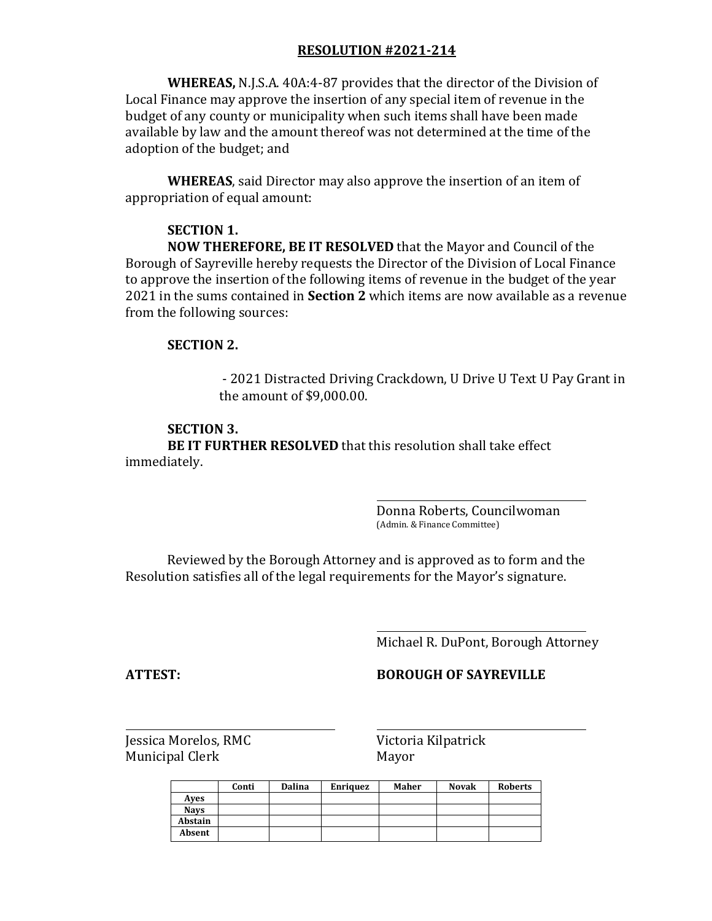**WHEREAS,** N.J.S.A. 40A:4-87 provides that the director of the Division of Local Finance may approve the insertion of any special item of revenue in the budget of any county or municipality when such items shall have been made available by law and the amount thereof was not determined at the time of the adoption of the budget; and

**WHEREAS**, said Director may also approve the insertion of an item of appropriation of equal amount:

#### **SECTION 1.**

**NOW THEREFORE, BE IT RESOLVED** that the Mayor and Council of the Borough of Sayreville hereby requests the Director of the Division of Local Finance to approve the insertion of the following items of revenue in the budget of the year 2021 in the sums contained in **Section 2** which items are now available as a revenue from the following sources:

#### **SECTION 2.**

- 2021 Distracted Driving Crackdown, U Drive U Text U Pay Grant in the amount of \$9,000.00.

## **SECTION 3.**

**BE IT FURTHER RESOLVED** that this resolution shall take effect immediately.

> Donna Roberts, Councilwoman (Admin. & Finance Committee)

Reviewed by the Borough Attorney and is approved as to form and the Resolution satisfies all of the legal requirements for the Mayor's signature.

Michael R. DuPont, Borough Attorney

### **ATTEST: BOROUGH OF SAYREVILLE**

|             | Conti | <b>Dalina</b> | <b>Enriquez</b> | Maher | <b>Novak</b> | <b>Roberts</b> |
|-------------|-------|---------------|-----------------|-------|--------------|----------------|
| Aves        |       |               |                 |       |              |                |
| <b>Navs</b> |       |               |                 |       |              |                |
| Abstain     |       |               |                 |       |              |                |
| Absent      |       |               |                 |       |              |                |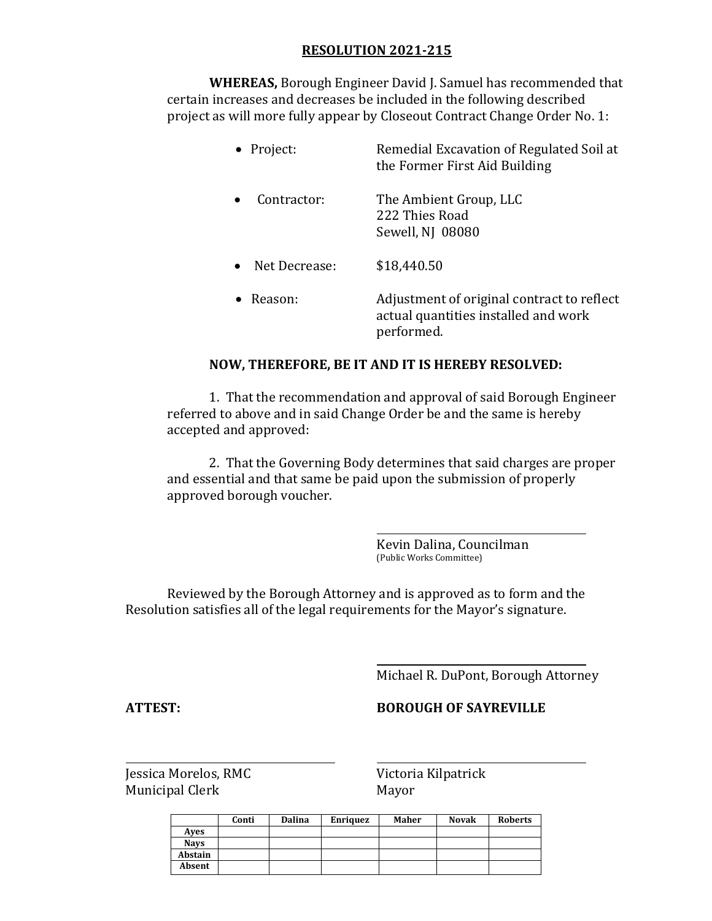**WHEREAS,** Borough Engineer David J. Samuel has recommended that certain increases and decreases be included in the following described project as will more fully appear by Closeout Contract Change Order No. 1:

| • Project:    | Remedial Excavation of Regulated Soil at<br>the Former First Aid Building                        |
|---------------|--------------------------------------------------------------------------------------------------|
| Contractor:   | The Ambient Group, LLC<br>222 Thies Road<br>Sewell, NJ 08080                                     |
| Net Decrease: | \$18,440.50                                                                                      |
| Reason:       | Adjustment of original contract to reflect<br>actual quantities installed and work<br>performed. |

### **NOW, THEREFORE, BE IT AND IT IS HEREBY RESOLVED:**

1. That the recommendation and approval of said Borough Engineer referred to above and in said Change Order be and the same is hereby accepted and approved:

2. That the Governing Body determines that said charges are proper and essential and that same be paid upon the submission of properly approved borough voucher.

> Kevin Dalina, Councilman (Public Works Committee)

Reviewed by the Borough Attorney and is approved as to form and the Resolution satisfies all of the legal requirements for the Mayor's signature.

Michael R. DuPont, Borough Attorney

**ATTEST: BOROUGH OF SAYREVILLE**

|             | Conti | Dalina | <b>Enriquez</b> | Maher | <b>Novak</b> | <b>Roberts</b> |
|-------------|-------|--------|-----------------|-------|--------------|----------------|
| Aves        |       |        |                 |       |              |                |
| <b>Navs</b> |       |        |                 |       |              |                |
| Abstain     |       |        |                 |       |              |                |
| Absent      |       |        |                 |       |              |                |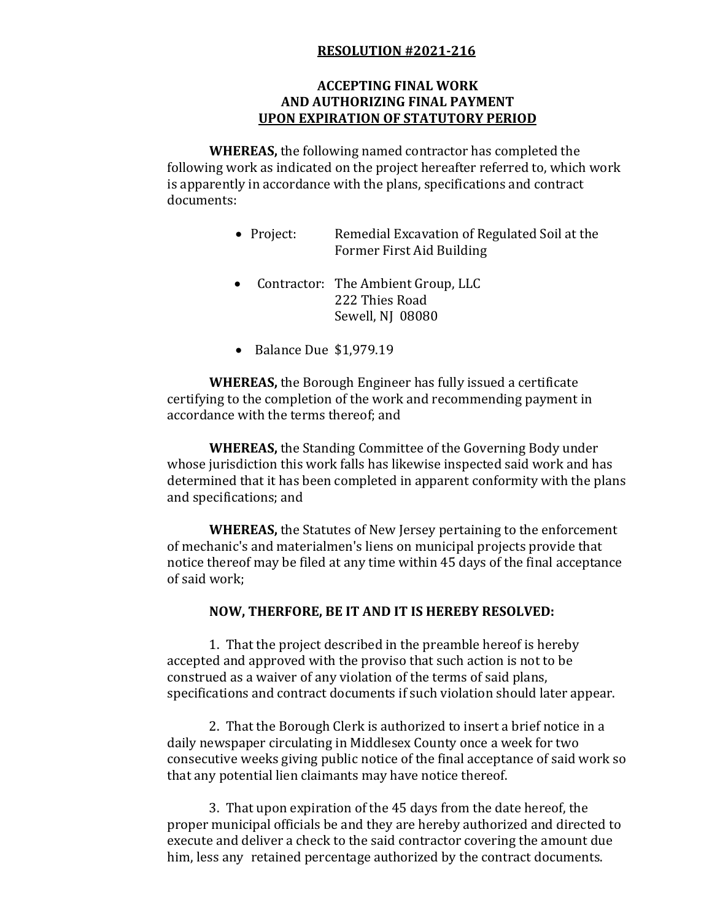## **ACCEPTING FINAL WORK AND AUTHORIZING FINAL PAYMENT UPON EXPIRATION OF STATUTORY PERIOD**

**WHEREAS,** the following named contractor has completed the following work as indicated on the project hereafter referred to, which work is apparently in accordance with the plans, specifications and contract documents:

- Project: Remedial Excavation of Regulated Soil at the Former First Aid Building
- Contractor: The Ambient Group, LLC 222 Thies Road Sewell, NJ 08080
- $\bullet$  Balance Due \$1,979.19

**WHEREAS,** the Borough Engineer has fully issued a certificate certifying to the completion of the work and recommending payment in accordance with the terms thereof; and

**WHEREAS,** the Standing Committee of the Governing Body under whose jurisdiction this work falls has likewise inspected said work and has determined that it has been completed in apparent conformity with the plans and specifications; and

**WHEREAS,** the Statutes of New Jersey pertaining to the enforcement of mechanic's and materialmen's liens on municipal projects provide that notice thereof may be filed at any time within 45 days of the final acceptance of said work;

#### **NOW, THERFORE, BE IT AND IT IS HEREBY RESOLVED:**

1. That the project described in the preamble hereof is hereby accepted and approved with the proviso that such action is not to be construed as a waiver of any violation of the terms of said plans, specifications and contract documents if such violation should later appear.

2. That the Borough Clerk is authorized to insert a brief notice in a daily newspaper circulating in Middlesex County once a week for two consecutive weeks giving public notice of the final acceptance of said work so that any potential lien claimants may have notice thereof.

3. That upon expiration of the 45 days from the date hereof, the proper municipal officials be and they are hereby authorized and directed to execute and deliver a check to the said contractor covering the amount due him, less any retained percentage authorized by the contract documents.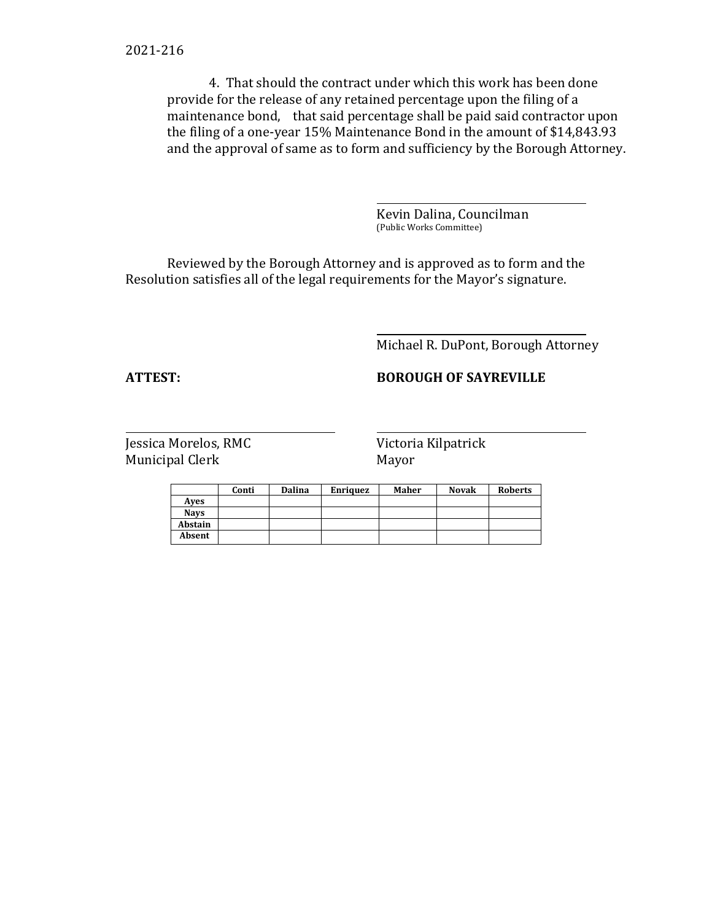4. That should the contract under which this work has been done provide for the release of any retained percentage upon the filing of a maintenance bond, that said percentage shall be paid said contractor upon the filing of a one-year 15% Maintenance Bond in the amount of \$14,843.93 and the approval of same as to form and sufficiency by the Borough Attorney.

> Kevin Dalina, Councilman (Public Works Committee)

Reviewed by the Borough Attorney and is approved as to form and the Resolution satisfies all of the legal requirements for the Mayor's signature.

Michael R. DuPont, Borough Attorney

# **ATTEST: BOROUGH OF SAYREVILLE**

|             | Conti | <b>Dalina</b> | <b>Enriquez</b> | Maher | <b>Novak</b> | <b>Roberts</b> |
|-------------|-------|---------------|-----------------|-------|--------------|----------------|
| Aves        |       |               |                 |       |              |                |
| <b>Navs</b> |       |               |                 |       |              |                |
| Abstain     |       |               |                 |       |              |                |
| Absent      |       |               |                 |       |              |                |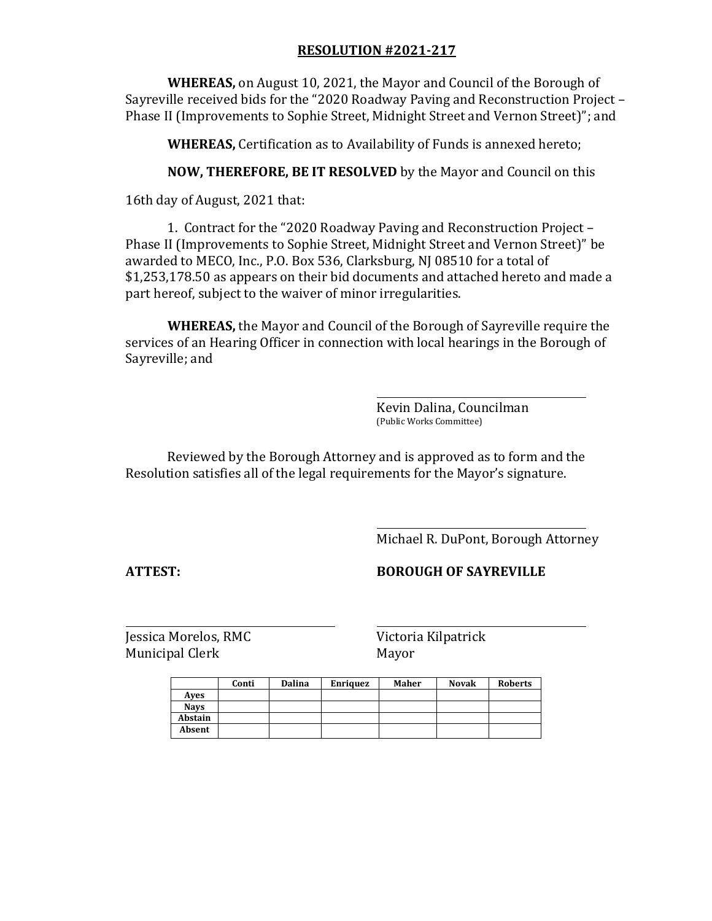**WHEREAS,** on August 10, 2021, the Mayor and Council of the Borough of Sayreville received bids for the "2020 Roadway Paving and Reconstruction Project – Phase II (Improvements to Sophie Street, Midnight Street and Vernon Street)"; and

**WHEREAS,** Certification as to Availability of Funds is annexed hereto;

**NOW, THEREFORE, BE IT RESOLVED** by the Mayor and Council on this

16th day of August, 2021 that:

1. Contract for the "2020 Roadway Paving and Reconstruction Project – Phase II (Improvements to Sophie Street, Midnight Street and Vernon Street)" be awarded to MECO, Inc., P.O. Box 536, Clarksburg, NJ 08510 for a total of \$1,253,178.50 as appears on their bid documents and attached hereto and made a part hereof, subject to the waiver of minor irregularities.

**WHEREAS,** the Mayor and Council of the Borough of Sayreville require the services of an Hearing Officer in connection with local hearings in the Borough of Sayreville; and

> Kevin Dalina, Councilman (Public Works Committee)

Reviewed by the Borough Attorney and is approved as to form and the Resolution satisfies all of the legal requirements for the Mayor's signature.

Michael R. DuPont, Borough Attorney

**ATTEST: BOROUGH OF SAYREVILLE**

|             | Conti | <b>Dalina</b> | Enriquez | Maher | <b>Novak</b> | <b>Roberts</b> |
|-------------|-------|---------------|----------|-------|--------------|----------------|
| Aves        |       |               |          |       |              |                |
| <b>Nays</b> |       |               |          |       |              |                |
| Abstain     |       |               |          |       |              |                |
| Absent      |       |               |          |       |              |                |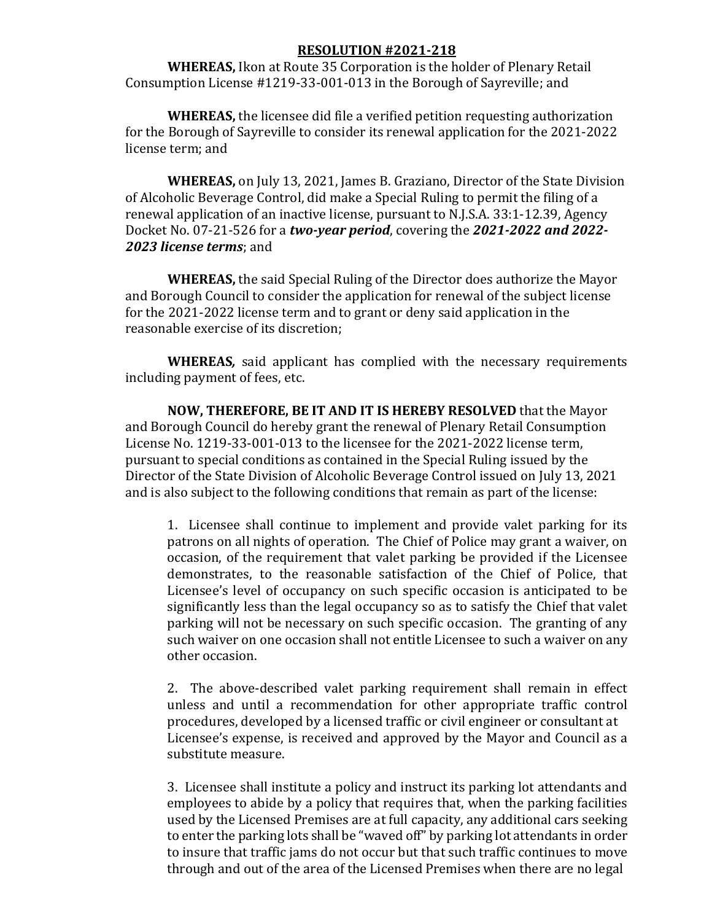**WHEREAS,** Ikon at Route 35 Corporation is the holder of Plenary Retail Consumption License #1219-33-001-013 in the Borough of Sayreville; and

**WHEREAS,** the licensee did file a verified petition requesting authorization for the Borough of Sayreville to consider its renewal application for the 2021-2022 license term; and

**WHEREAS,** on July 13, 2021, James B. Graziano, Director of the State Division of Alcoholic Beverage Control, did make a Special Ruling to permit the filing of a renewal application of an inactive license, pursuant to N.J.S.A. 33:1-12.39, Agency Docket No. 07-21-526 for a *two-year period*, covering the *2021-2022 and 2022- 2023 license terms*; and

**WHEREAS,** the said Special Ruling of the Director does authorize the Mayor and Borough Council to consider the application for renewal of the subject license for the 2021-2022 license term and to grant or deny said application in the reasonable exercise of its discretion;

**WHEREAS***,* said applicant has complied with the necessary requirements including payment of fees, etc.

**NOW, THEREFORE, BE IT AND IT IS HEREBY RESOLVED** that the Mayor and Borough Council do hereby grant the renewal of Plenary Retail Consumption License No. 1219-33-001-013 to the licensee for the 2021-2022 license term, pursuant to special conditions as contained in the Special Ruling issued by the Director of the State Division of Alcoholic Beverage Control issued on July 13, 2021 and is also subject to the following conditions that remain as part of the license:

1. Licensee shall continue to implement and provide valet parking for its patrons on all nights of operation. The Chief of Police may grant a waiver, on occasion, of the requirement that valet parking be provided if the Licensee demonstrates, to the reasonable satisfaction of the Chief of Police, that Licensee's level of occupancy on such specific occasion is anticipated to be significantly less than the legal occupancy so as to satisfy the Chief that valet parking will not be necessary on such specific occasion. The granting of any such waiver on one occasion shall not entitle Licensee to such a waiver on any other occasion.

2. The above-described valet parking requirement shall remain in effect unless and until a recommendation for other appropriate traffic control procedures, developed by a licensed traffic or civil engineer or consultant at Licensee's expense, is received and approved by the Mayor and Council as a substitute measure.

3. Licensee shall institute a policy and instruct its parking lot attendants and employees to abide by a policy that requires that, when the parking facilities used by the Licensed Premises are at full capacity, any additional cars seeking to enter the parking lots shall be "waved off" by parking lot attendants in order to insure that traffic jams do not occur but that such traffic continues to move through and out of the area of the Licensed Premises when there are no legal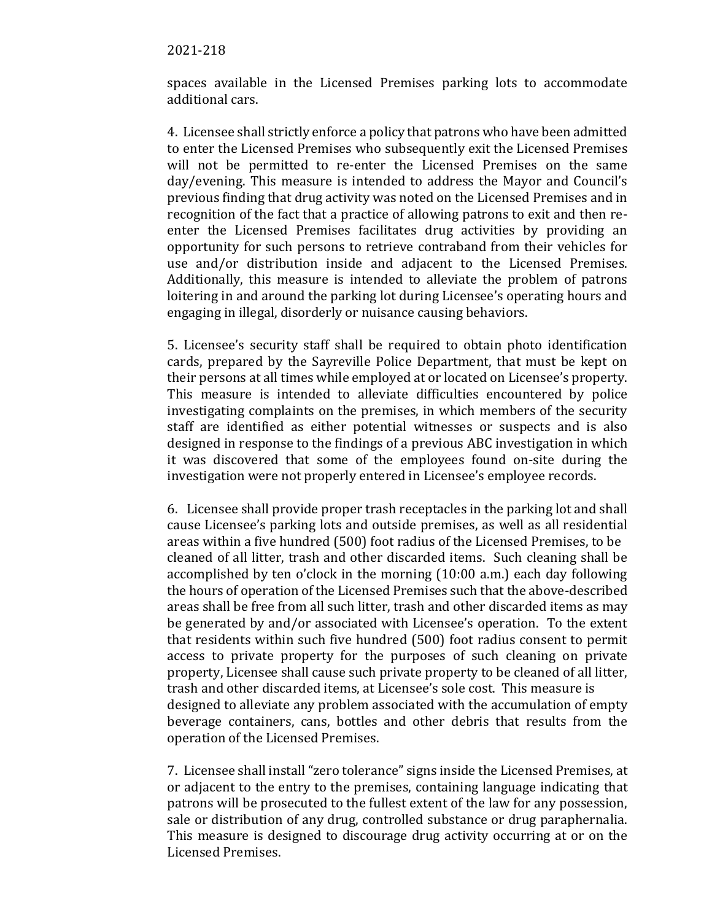#### 2021-218

spaces available in the Licensed Premises parking lots to accommodate additional cars.

4. Licensee shall strictly enforce a policy that patrons who have been admitted to enter the Licensed Premises who subsequently exit the Licensed Premises will not be permitted to re-enter the Licensed Premises on the same day/evening. This measure is intended to address the Mayor and Council's previous finding that drug activity was noted on the Licensed Premises and in recognition of the fact that a practice of allowing patrons to exit and then reenter the Licensed Premises facilitates drug activities by providing an opportunity for such persons to retrieve contraband from their vehicles for use and/or distribution inside and adjacent to the Licensed Premises. Additionally, this measure is intended to alleviate the problem of patrons loitering in and around the parking lot during Licensee's operating hours and engaging in illegal, disorderly or nuisance causing behaviors.

5. Licensee's security staff shall be required to obtain photo identification cards, prepared by the Sayreville Police Department, that must be kept on their persons at all times while employed at or located on Licensee's property. This measure is intended to alleviate difficulties encountered by police investigating complaints on the premises, in which members of the security staff are identified as either potential witnesses or suspects and is also designed in response to the findings of a previous ABC investigation in which it was discovered that some of the employees found on-site during the investigation were not properly entered in Licensee's employee records.

6. Licensee shall provide proper trash receptacles in the parking lot and shall cause Licensee's parking lots and outside premises, as well as all residential areas within a five hundred (500) foot radius of the Licensed Premises, to be cleaned of all litter, trash and other discarded items. Such cleaning shall be accomplished by ten o'clock in the morning (10:00 a.m.) each day following the hours of operation of the Licensed Premises such that the above-described areas shall be free from all such litter, trash and other discarded items as may be generated by and/or associated with Licensee's operation. To the extent that residents within such five hundred (500) foot radius consent to permit access to private property for the purposes of such cleaning on private property, Licensee shall cause such private property to be cleaned of all litter, trash and other discarded items, at Licensee's sole cost. This measure is designed to alleviate any problem associated with the accumulation of empty beverage containers, cans, bottles and other debris that results from the operation of the Licensed Premises.

7. Licensee shall install "zero tolerance" signs inside the Licensed Premises, at or adjacent to the entry to the premises, containing language indicating that patrons will be prosecuted to the fullest extent of the law for any possession, sale or distribution of any drug, controlled substance or drug paraphernalia. This measure is designed to discourage drug activity occurring at or on the Licensed Premises.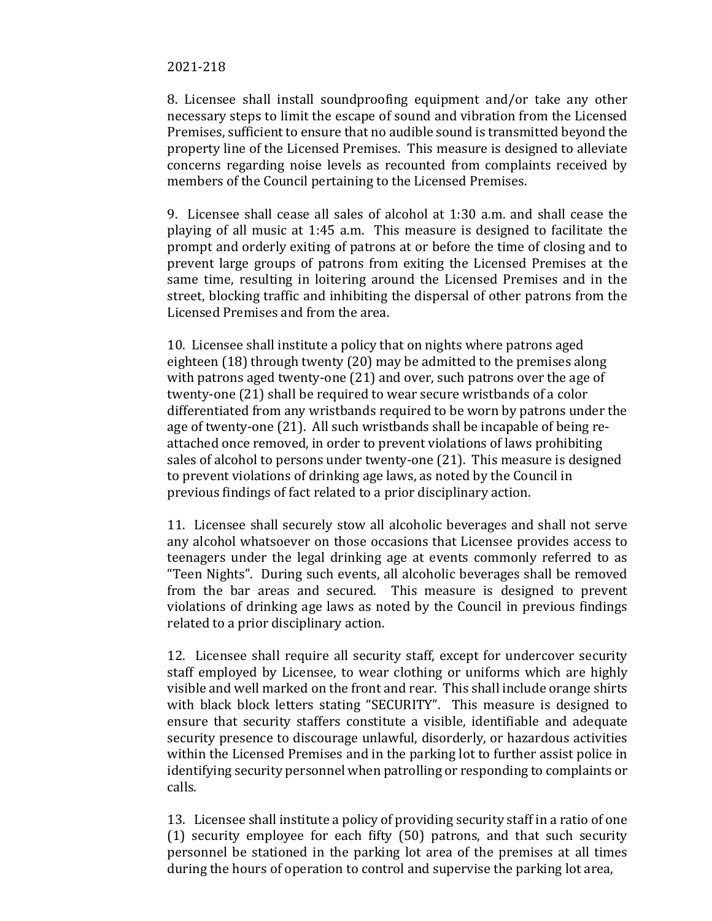8. Licensee shall install soundproofing equipment and/or take any other necessary steps to limit the escape of sound and vibration from the Licensed Premises, sufficient to ensure that no audible sound is transmitted beyond the property line of the Licensed Premises. This measure is designed to alleviate concerns regarding noise levels as recounted from complaints received by members of the Council pertaining to the Licensed Premises.

9. Licensee shall cease all sales of alcohol at 1:30 a.m. and shall cease the playing of all music at 1:45 a.m. This measure is designed to facilitate the prompt and orderly exiting of patrons at or before the time of closing and to prevent large groups of patrons from exiting the Licensed Premises at the same time, resulting in loitering around the Licensed Premises and in the street, blocking traffic and inhibiting the dispersal of other patrons from the Licensed Premises and from the area.

10. Licensee shall institute a policy that on nights where patrons aged eighteen (18) through twenty (20) may be admitted to the premises along with patrons aged twenty-one (21) and over, such patrons over the age of twenty-one (21) shall be required to wear secure wristbands of a color differentiated from any wristbands required to be worn by patrons under the age of twenty-one (21). All such wristbands shall be incapable of being reattached once removed, in order to prevent violations of laws prohibiting sales of alcohol to persons under twenty-one (21). This measure is designed to prevent violations of drinking age laws, as noted by the Council in previous findings of fact related to a prior disciplinary action.

11. Licensee shall securely stow all alcoholic beverages and shall not serve any alcohol whatsoever on those occasions that Licensee provides access to teenagers under the legal drinking age at events commonly referred to as "Teen Nights". During such events, all alcoholic beverages shall be removed from the bar areas and secured. This measure is designed to prevent violations of drinking age laws as noted by the Council in previous findings related to a prior disciplinary action.

12. Licensee shall require all security staff, except for undercover security staff employed by Licensee, to wear clothing or uniforms which are highly visible and well marked on the front and rear. This shall include orange shirts with black block letters stating "SECURITY". This measure is designed to ensure that security staffers constitute a visible, identifiable and adequate security presence to discourage unlawful, disorderly, or hazardous activities within the Licensed Premises and in the parking lot to further assist police in identifying security personnel when patrolling or responding to complaints or calls.

13. Licensee shall institute a policy of providing security staff in a ratio of one (1) security employee for each fifty (50) patrons, and that such security personnel be stationed in the parking lot area of the premises at all times during the hours of operation to control and supervise the parking lot area,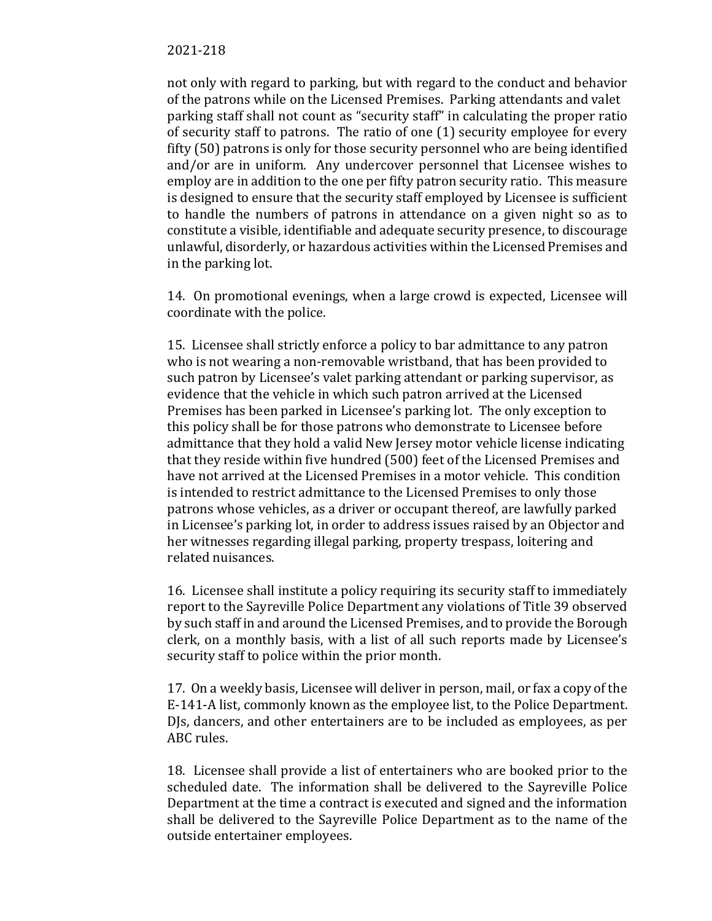not only with regard to parking, but with regard to the conduct and behavior of the patrons while on the Licensed Premises. Parking attendants and valet parking staff shall not count as "security staff" in calculating the proper ratio of security staff to patrons. The ratio of one (1) security employee for every fifty (50) patrons is only for those security personnel who are being identified and/or are in uniform. Any undercover personnel that Licensee wishes to employ are in addition to the one per fifty patron security ratio. This measure is designed to ensure that the security staff employed by Licensee is sufficient to handle the numbers of patrons in attendance on a given night so as to constitute a visible, identifiable and adequate security presence, to discourage unlawful, disorderly, or hazardous activities within the Licensed Premises and in the parking lot.

14. On promotional evenings, when a large crowd is expected, Licensee will coordinate with the police.

15. Licensee shall strictly enforce a policy to bar admittance to any patron who is not wearing a non-removable wristband, that has been provided to such patron by Licensee's valet parking attendant or parking supervisor, as evidence that the vehicle in which such patron arrived at the Licensed Premises has been parked in Licensee's parking lot. The only exception to this policy shall be for those patrons who demonstrate to Licensee before admittance that they hold a valid New Jersey motor vehicle license indicating that they reside within five hundred (500) feet of the Licensed Premises and have not arrived at the Licensed Premises in a motor vehicle. This condition is intended to restrict admittance to the Licensed Premises to only those patrons whose vehicles, as a driver or occupant thereof, are lawfully parked in Licensee's parking lot, in order to address issues raised by an Objector and her witnesses regarding illegal parking, property trespass, loitering and related nuisances.

16. Licensee shall institute a policy requiring its security staff to immediately report to the Sayreville Police Department any violations of Title 39 observed by such staff in and around the Licensed Premises, and to provide the Borough clerk, on a monthly basis, with a list of all such reports made by Licensee's security staff to police within the prior month.

17. On a weekly basis, Licensee will deliver in person, mail, or fax a copy of the E-141-A list, commonly known as the employee list, to the Police Department. DJs, dancers, and other entertainers are to be included as employees, as per ABC rules.

18. Licensee shall provide a list of entertainers who are booked prior to the scheduled date. The information shall be delivered to the Sayreville Police Department at the time a contract is executed and signed and the information shall be delivered to the Sayreville Police Department as to the name of the outside entertainer employees.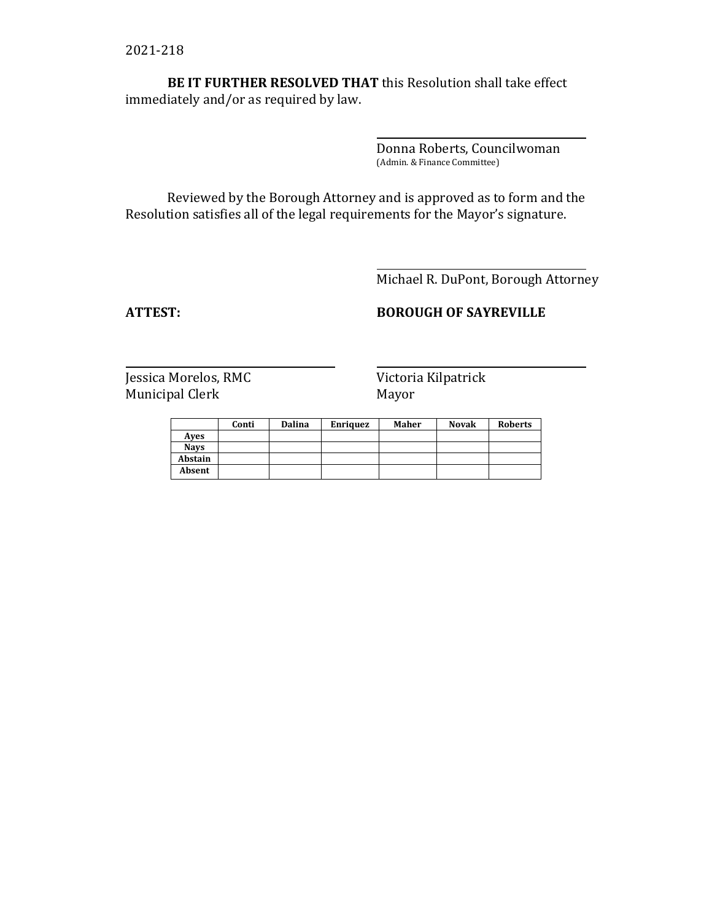**BE IT FURTHER RESOLVED THAT** this Resolution shall take effect immediately and/or as required by law.

> Donna Roberts, Councilwoman (Admin. & Finance Committee)

Reviewed by the Borough Attorney and is approved as to form and the Resolution satisfies all of the legal requirements for the Mayor's signature.

Michael R. DuPont, Borough Attorney

## **ATTEST: BOROUGH OF SAYREVILLE**

|             | Conti | <b>Dalina</b> | <b>Enriquez</b> | Maher | <b>Novak</b> | <b>Roberts</b> |
|-------------|-------|---------------|-----------------|-------|--------------|----------------|
| Aves        |       |               |                 |       |              |                |
| <b>Navs</b> |       |               |                 |       |              |                |
| Abstain     |       |               |                 |       |              |                |
| Absent      |       |               |                 |       |              |                |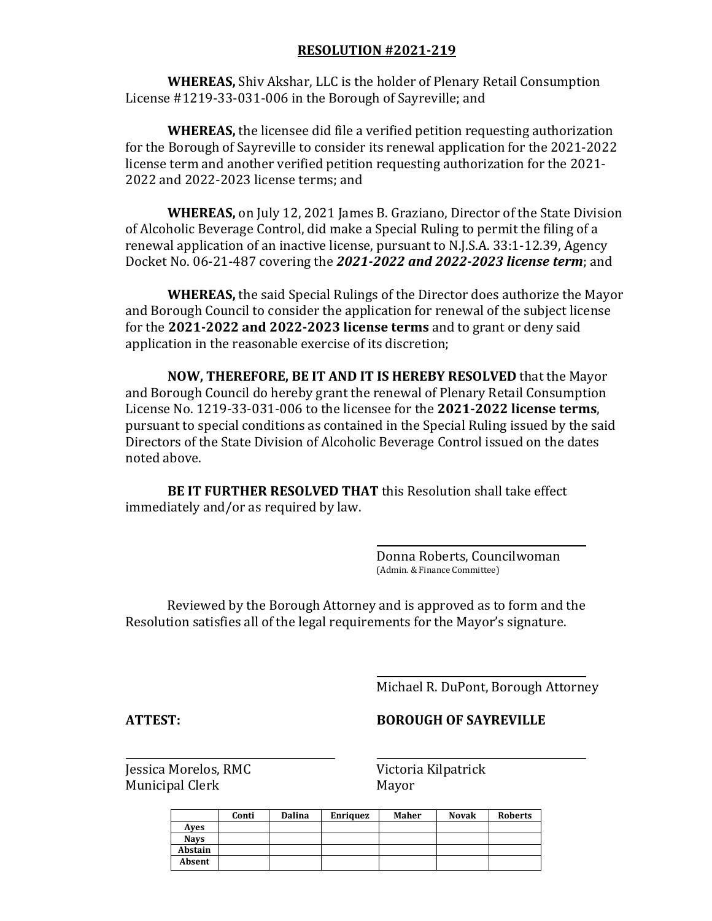**WHEREAS,** Shiv Akshar, LLC is the holder of Plenary Retail Consumption License #1219-33-031-006 in the Borough of Sayreville; and

**WHEREAS,** the licensee did file a verified petition requesting authorization for the Borough of Sayreville to consider its renewal application for the 2021-2022 license term and another verified petition requesting authorization for the 2021- 2022 and 2022-2023 license terms; and

**WHEREAS,** on July 12, 2021 James B. Graziano, Director of the State Division of Alcoholic Beverage Control, did make a Special Ruling to permit the filing of a renewal application of an inactive license, pursuant to N.J.S.A. 33:1-12.39, Agency Docket No. 06-21-487 covering the *2021-2022 and 2022-2023 license term*; and

**WHEREAS,** the said Special Rulings of the Director does authorize the Mayor and Borough Council to consider the application for renewal of the subject license for the **2021-2022 and 2022-2023 license terms** and to grant or deny said application in the reasonable exercise of its discretion;

**NOW, THEREFORE, BE IT AND IT IS HEREBY RESOLVED** that the Mayor and Borough Council do hereby grant the renewal of Plenary Retail Consumption License No. 1219-33-031-006 to the licensee for the **2021-2022 license terms**, pursuant to special conditions as contained in the Special Ruling issued by the said Directors of the State Division of Alcoholic Beverage Control issued on the dates noted above.

**BE IT FURTHER RESOLVED THAT** this Resolution shall take effect immediately and/or as required by law.

> Donna Roberts, Councilwoman (Admin. & Finance Committee)

Reviewed by the Borough Attorney and is approved as to form and the Resolution satisfies all of the legal requirements for the Mayor's signature.

Michael R. DuPont, Borough Attorney

#### **ATTEST: BOROUGH OF SAYREVILLE**

|             | Conti | <b>Dalina</b> | <b>Enriquez</b> | Maher | <b>Novak</b> | <b>Roberts</b> |
|-------------|-------|---------------|-----------------|-------|--------------|----------------|
| Aves        |       |               |                 |       |              |                |
| <b>Navs</b> |       |               |                 |       |              |                |
| Abstain     |       |               |                 |       |              |                |
| Absent      |       |               |                 |       |              |                |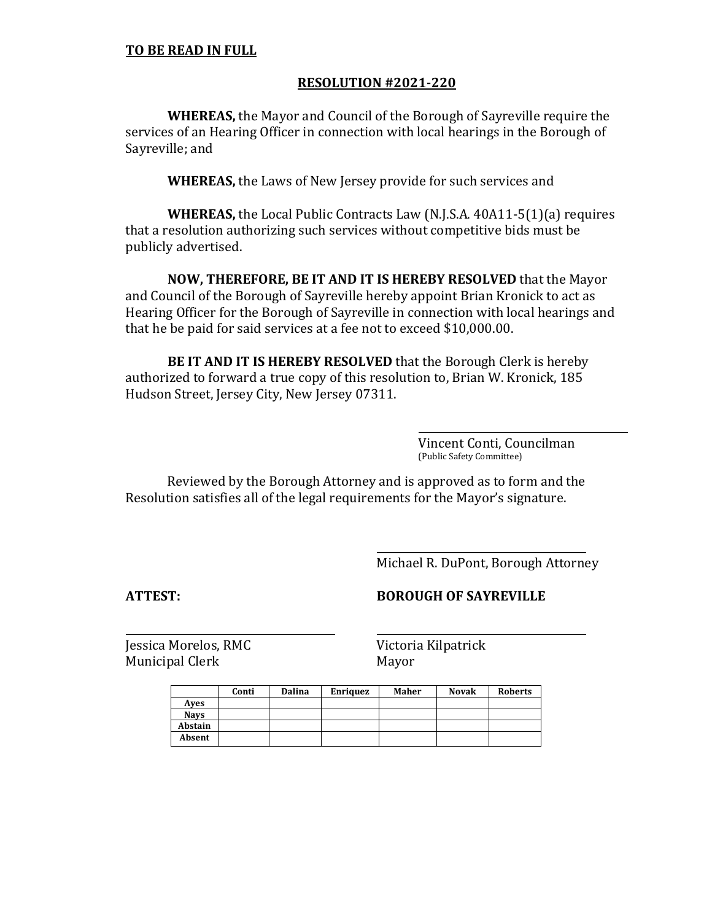## **TO BE READ IN FULL**

### **RESOLUTION #2021-220**

**WHEREAS,** the Mayor and Council of the Borough of Sayreville require the services of an Hearing Officer in connection with local hearings in the Borough of Sayreville; and

**WHEREAS,** the Laws of New Jersey provide for such services and

**WHEREAS,** the Local Public Contracts Law (N.J.S.A. 40A11-5(1)(a) requires that a resolution authorizing such services without competitive bids must be publicly advertised.

**NOW, THEREFORE, BE IT AND IT IS HEREBY RESOLVED** that the Mayor and Council of the Borough of Sayreville hereby appoint Brian Kronick to act as Hearing Officer for the Borough of Sayreville in connection with local hearings and that he be paid for said services at a fee not to exceed \$10,000.00.

**BE IT AND IT IS HEREBY RESOLVED** that the Borough Clerk is hereby authorized to forward a true copy of this resolution to, Brian W. Kronick, 185 Hudson Street, Jersey City, New Jersey 07311.

> Vincent Conti, Councilman (Public Safety Committee)

Reviewed by the Borough Attorney and is approved as to form and the Resolution satisfies all of the legal requirements for the Mayor's signature.

Michael R. DuPont, Borough Attorney

**ATTEST: BOROUGH OF SAYREVILLE**

|             | Conti | Dalina | <b>Enriquez</b> | Maher | <b>Novak</b> | <b>Roberts</b> |
|-------------|-------|--------|-----------------|-------|--------------|----------------|
| Aves        |       |        |                 |       |              |                |
| <b>Navs</b> |       |        |                 |       |              |                |
| Abstain     |       |        |                 |       |              |                |
| Absent      |       |        |                 |       |              |                |